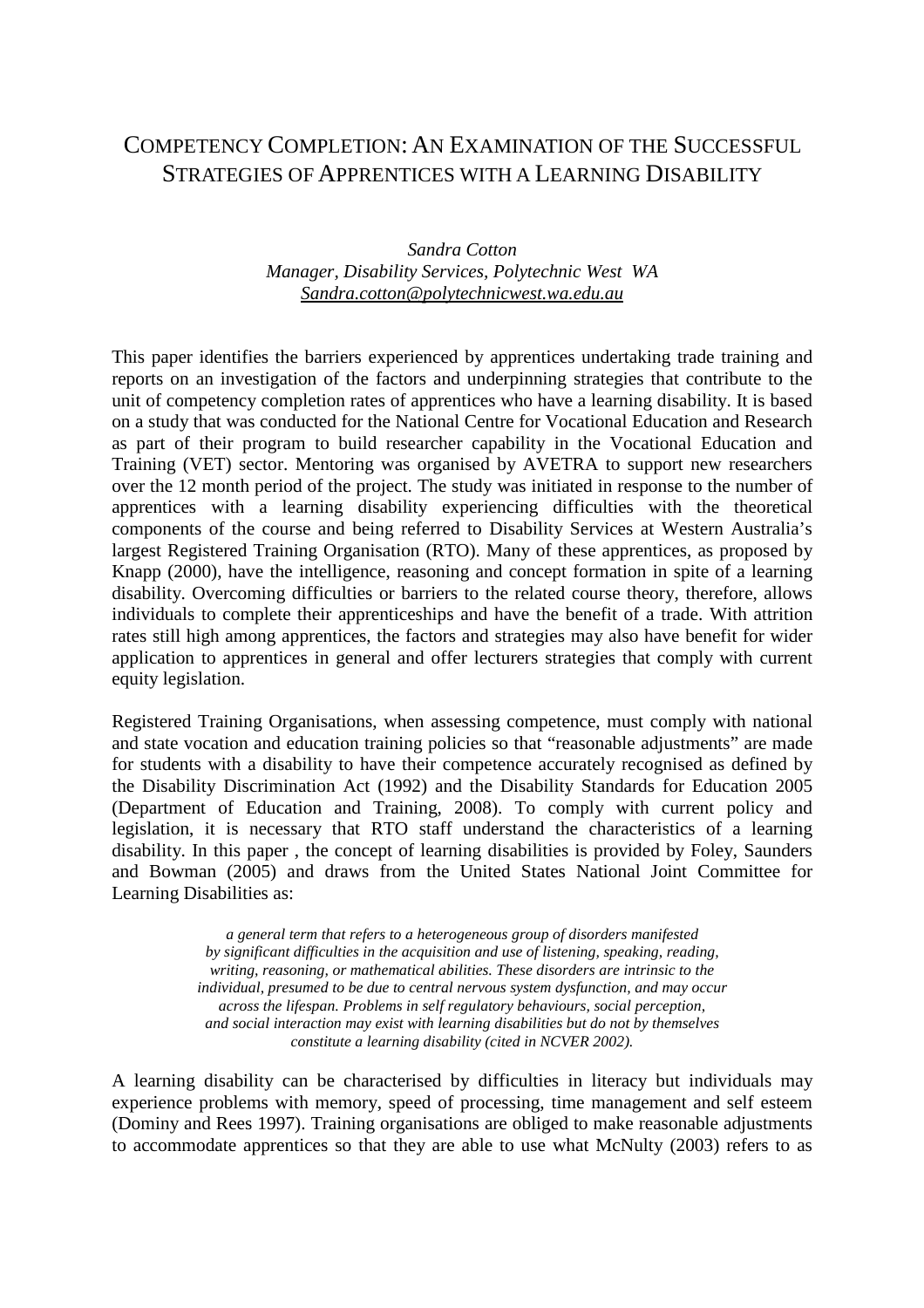# COMPETENCY COMPLETION: AN EXAMINATION OF THE SUCCESSFUL STRATEGIES OF APPRENTICES WITH A LEARNING DISABILITY

### *Sandra Cotton Manager, Disability Services, Polytechnic West WA Sandra.cotton@polytechnicwest.wa.edu.au*

This paper identifies the barriers experienced by apprentices undertaking trade training and reports on an investigation of the factors and underpinning strategies that contribute to the unit of competency completion rates of apprentices who have a learning disability. It is based on a study that was conducted for the National Centre for Vocational Education and Research as part of their program to build researcher capability in the Vocational Education and Training (VET) sector. Mentoring was organised by AVETRA to support new researchers over the 12 month period of the project. The study was initiated in response to the number of apprentices with a learning disability experiencing difficulties with the theoretical components of the course and being referred to Disability Services at Western Australia's largest Registered Training Organisation (RTO). Many of these apprentices, as proposed by Knapp (2000), have the intelligence, reasoning and concept formation in spite of a learning disability. Overcoming difficulties or barriers to the related course theory, therefore, allows individuals to complete their apprenticeships and have the benefit of a trade. With attrition rates still high among apprentices, the factors and strategies may also have benefit for wider application to apprentices in general and offer lecturers strategies that comply with current equity legislation.

Registered Training Organisations, when assessing competence, must comply with national and state vocation and education training policies so that "reasonable adjustments" are made for students with a disability to have their competence accurately recognised as defined by the Disability Discrimination Act (1992) and the Disability Standards for Education 2005 (Department of Education and Training, 2008). To comply with current policy and legislation, it is necessary that RTO staff understand the characteristics of a learning disability. In this paper , the concept of learning disabilities is provided by Foley, Saunders and Bowman (2005) and draws from the United States National Joint Committee for Learning Disabilities as:

> *a general term that refers to a heterogeneous group of disorders manifested by significant difficulties in the acquisition and use of listening, speaking, reading, writing, reasoning, or mathematical abilities. These disorders are intrinsic to the individual, presumed to be due to central nervous system dysfunction, and may occur across the lifespan. Problems in self regulatory behaviours, social perception, and social interaction may exist with learning disabilities but do not by themselves constitute a learning disability (cited in NCVER 2002).*

A learning disability can be characterised by difficulties in literacy but individuals may experience problems with memory, speed of processing, time management and self esteem (Dominy and Rees 1997). Training organisations are obliged to make reasonable adjustments to accommodate apprentices so that they are able to use what McNulty (2003) refers to as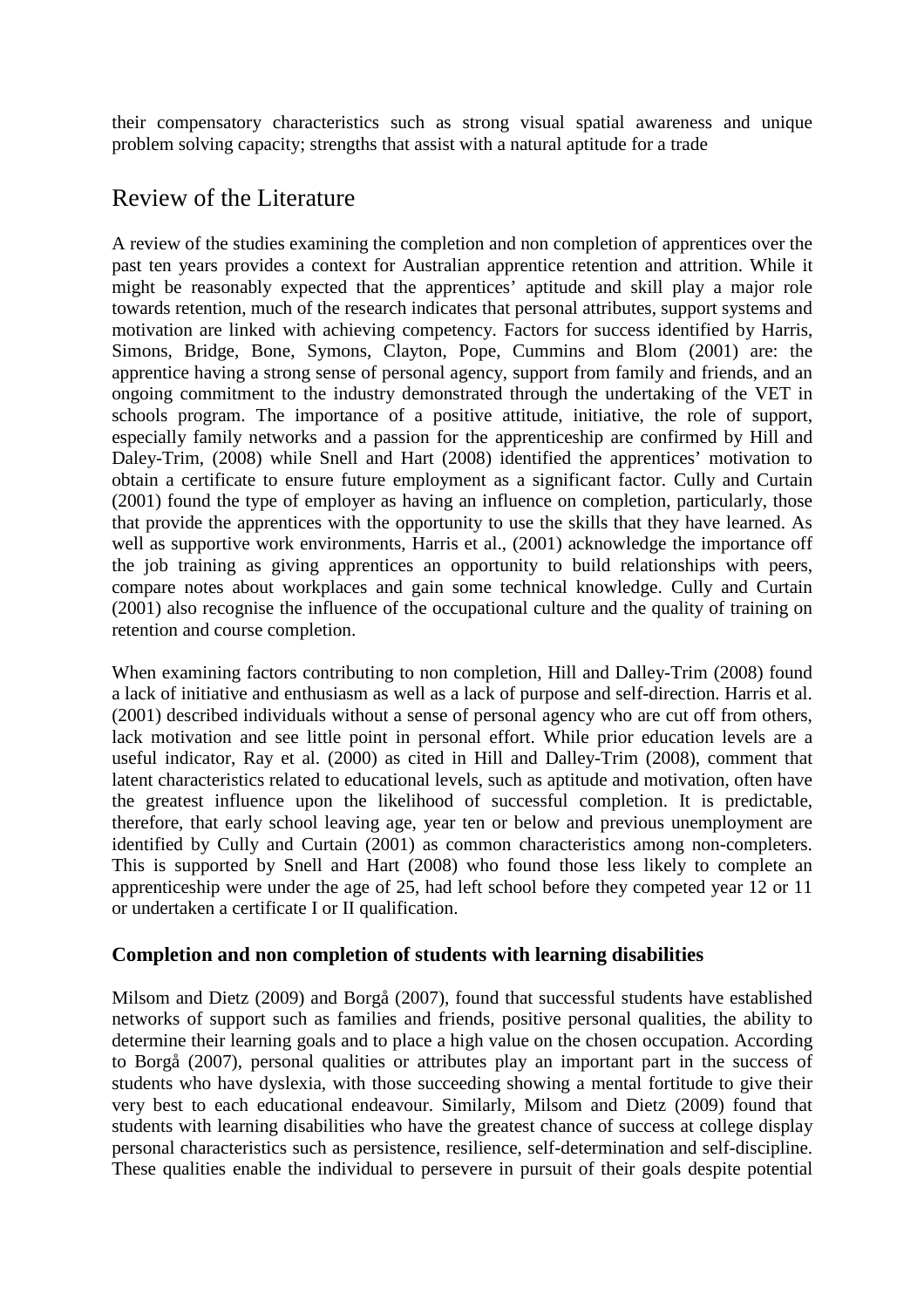their compensatory characteristics such as strong visual spatial awareness and unique problem solving capacity; strengths that assist with a natural aptitude for a trade

# Review of the Literature

A review of the studies examining the completion and non completion of apprentices over the past ten years provides a context for Australian apprentice retention and attrition. While it might be reasonably expected that the apprentices' aptitude and skill play a major role towards retention, much of the research indicates that personal attributes, support systems and motivation are linked with achieving competency. Factors for success identified by Harris, Simons, Bridge, Bone, Symons, Clayton, Pope, Cummins and Blom (2001) are: the apprentice having a strong sense of personal agency, support from family and friends, and an ongoing commitment to the industry demonstrated through the undertaking of the VET in schools program. The importance of a positive attitude, initiative, the role of support, especially family networks and a passion for the apprenticeship are confirmed by Hill and Daley-Trim, (2008) while Snell and Hart (2008) identified the apprentices' motivation to obtain a certificate to ensure future employment as a significant factor. Cully and Curtain (2001) found the type of employer as having an influence on completion, particularly, those that provide the apprentices with the opportunity to use the skills that they have learned. As well as supportive work environments, Harris et al., (2001) acknowledge the importance off the job training as giving apprentices an opportunity to build relationships with peers, compare notes about workplaces and gain some technical knowledge. Cully and Curtain (2001) also recognise the influence of the occupational culture and the quality of training on retention and course completion.

When examining factors contributing to non completion, Hill and Dalley-Trim (2008) found a lack of initiative and enthusiasm as well as a lack of purpose and self-direction. Harris et al. (2001) described individuals without a sense of personal agency who are cut off from others, lack motivation and see little point in personal effort. While prior education levels are a useful indicator, Ray et al. (2000) as cited in Hill and Dalley-Trim (2008), comment that latent characteristics related to educational levels, such as aptitude and motivation, often have the greatest influence upon the likelihood of successful completion. It is predictable, therefore, that early school leaving age, year ten or below and previous unemployment are identified by Cully and Curtain (2001) as common characteristics among non-completers. This is supported by Snell and Hart (2008) who found those less likely to complete an apprenticeship were under the age of 25, had left school before they competed year 12 or 11 or undertaken a certificate I or II qualification.

### **Completion and non completion of students with learning disabilities**

Milsom and Dietz (2009) and Borgå (2007), found that successful students have established networks of support such as families and friends, positive personal qualities, the ability to determine their learning goals and to place a high value on the chosen occupation. According to Borgå (2007), personal qualities or attributes play an important part in the success of students who have dyslexia, with those succeeding showing a mental fortitude to give their very best to each educational endeavour. Similarly, Milsom and Dietz (2009) found that students with learning disabilities who have the greatest chance of success at college display personal characteristics such as persistence, resilience, self-determination and self-discipline. These qualities enable the individual to persevere in pursuit of their goals despite potential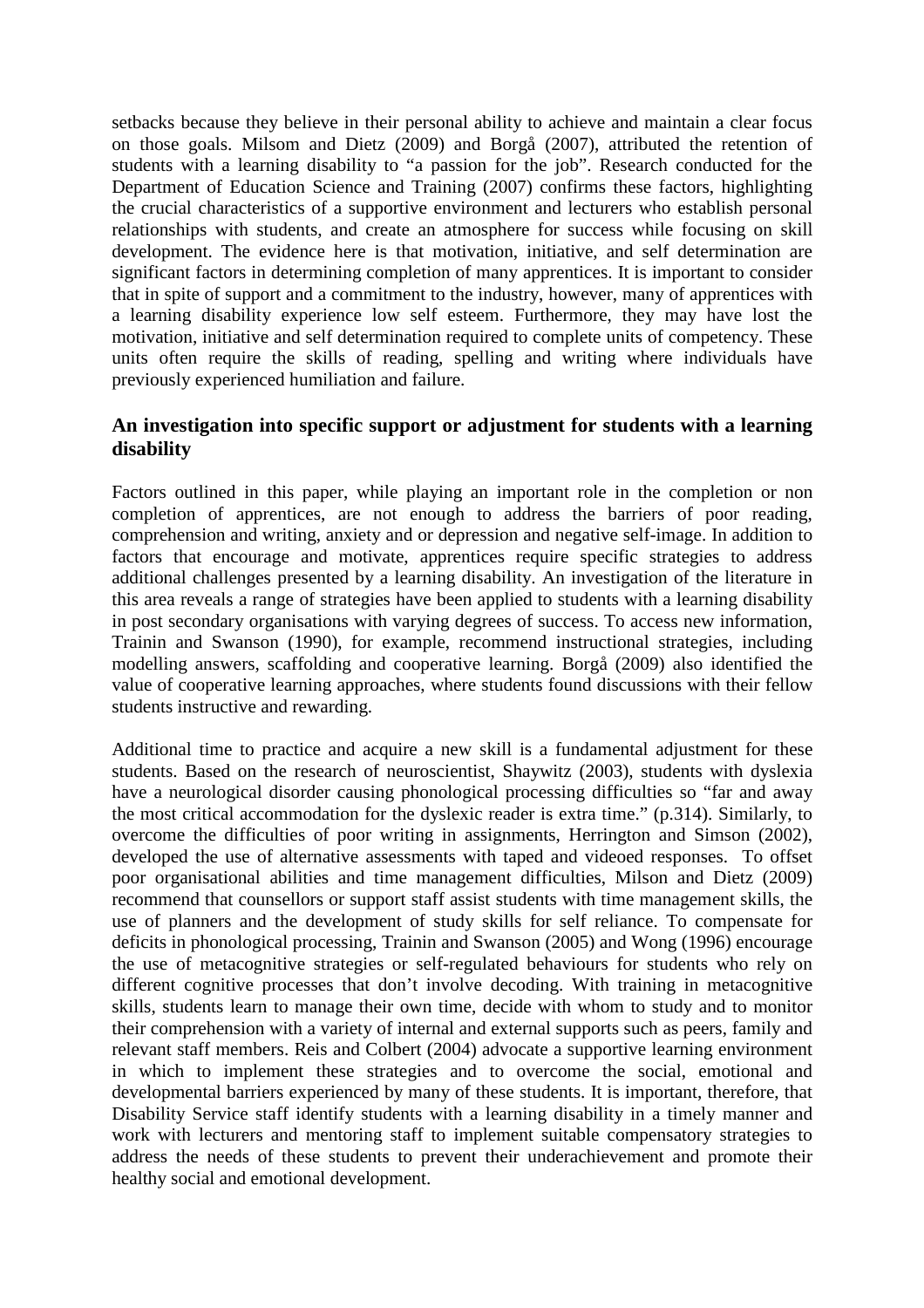setbacks because they believe in their personal ability to achieve and maintain a clear focus on those goals. Milsom and Dietz (2009) and Borgå (2007), attributed the retention of students with a learning disability to "a passion for the job". Research conducted for the Department of Education Science and Training (2007) confirms these factors, highlighting the crucial characteristics of a supportive environment and lecturers who establish personal relationships with students, and create an atmosphere for success while focusing on skill development. The evidence here is that motivation, initiative, and self determination are significant factors in determining completion of many apprentices. It is important to consider that in spite of support and a commitment to the industry, however, many of apprentices with a learning disability experience low self esteem. Furthermore, they may have lost the motivation, initiative and self determination required to complete units of competency. These units often require the skills of reading, spelling and writing where individuals have previously experienced humiliation and failure.

### **An investigation into specific support or adjustment for students with a learning disability**

Factors outlined in this paper, while playing an important role in the completion or non completion of apprentices, are not enough to address the barriers of poor reading, comprehension and writing, anxiety and or depression and negative self-image. In addition to factors that encourage and motivate, apprentices require specific strategies to address additional challenges presented by a learning disability. An investigation of the literature in this area reveals a range of strategies have been applied to students with a learning disability in post secondary organisations with varying degrees of success. To access new information, Trainin and Swanson (1990), for example, recommend instructional strategies, including modelling answers, scaffolding and cooperative learning. Borgå (2009) also identified the value of cooperative learning approaches, where students found discussions with their fellow students instructive and rewarding.

Additional time to practice and acquire a new skill is a fundamental adjustment for these students. Based on the research of neuroscientist, Shaywitz (2003), students with dyslexia have a neurological disorder causing phonological processing difficulties so "far and away the most critical accommodation for the dyslexic reader is extra time." (p.314). Similarly, to overcome the difficulties of poor writing in assignments, Herrington and Simson (2002), developed the use of alternative assessments with taped and videoed responses. To offset poor organisational abilities and time management difficulties, Milson and Dietz (2009) recommend that counsellors or support staff assist students with time management skills, the use of planners and the development of study skills for self reliance. To compensate for deficits in phonological processing, Trainin and Swanson (2005) and Wong (1996) encourage the use of metacognitive strategies or self-regulated behaviours for students who rely on different cognitive processes that don't involve decoding. With training in metacognitive skills, students learn to manage their own time, decide with whom to study and to monitor their comprehension with a variety of internal and external supports such as peers, family and relevant staff members. Reis and Colbert (2004) advocate a supportive learning environment in which to implement these strategies and to overcome the social, emotional and developmental barriers experienced by many of these students. It is important, therefore, that Disability Service staff identify students with a learning disability in a timely manner and work with lecturers and mentoring staff to implement suitable compensatory strategies to address the needs of these students to prevent their underachievement and promote their healthy social and emotional development.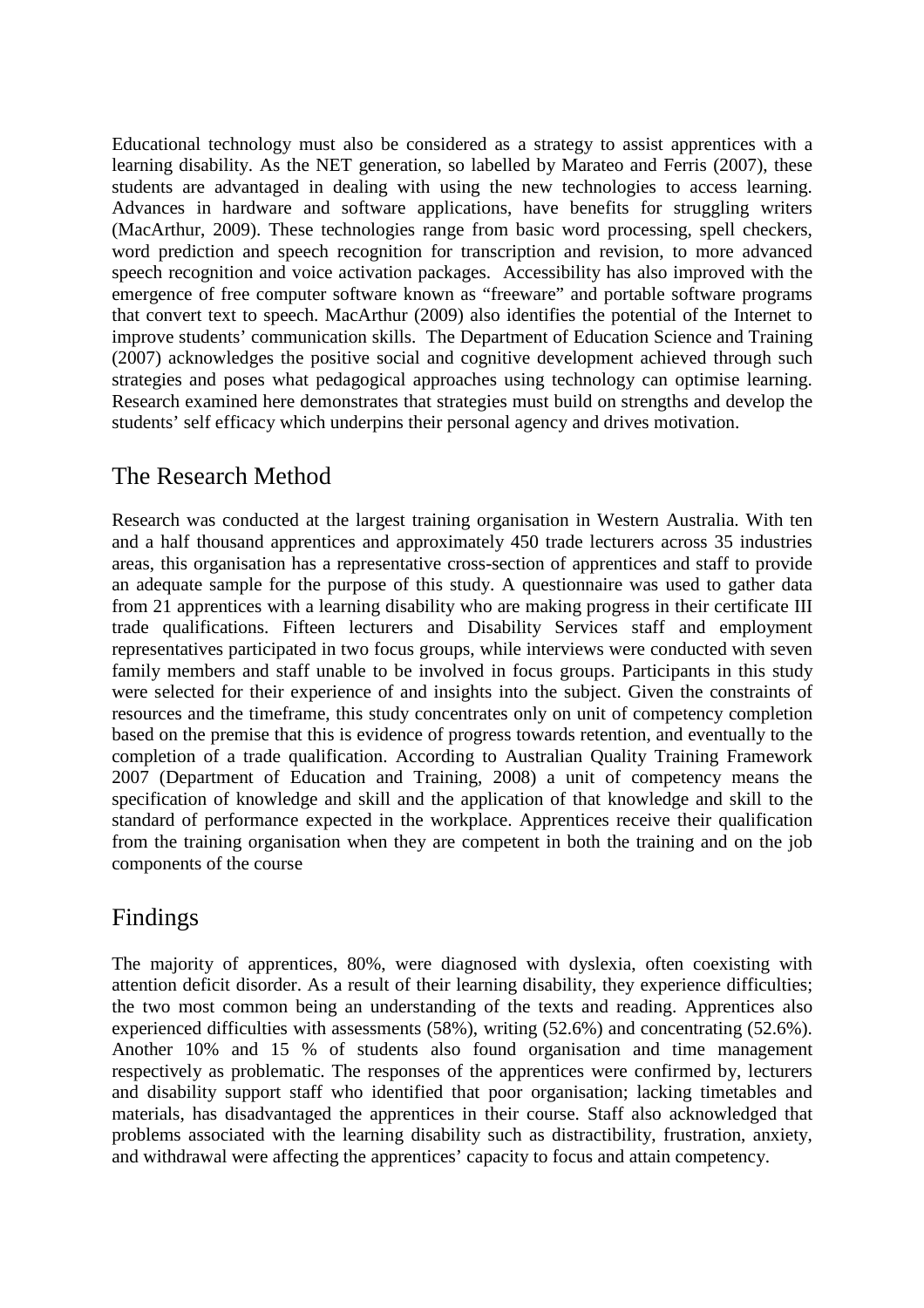Educational technology must also be considered as a strategy to assist apprentices with a learning disability. As the NET generation, so labelled by Marateo and Ferris (2007), these students are advantaged in dealing with using the new technologies to access learning. Advances in hardware and software applications, have benefits for struggling writers (MacArthur, 2009). These technologies range from basic word processing, spell checkers, word prediction and speech recognition for transcription and revision, to more advanced speech recognition and voice activation packages. Accessibility has also improved with the emergence of free computer software known as "freeware" and portable software programs that convert text to speech. MacArthur (2009) also identifies the potential of the Internet to improve students' communication skills. The Department of Education Science and Training (2007) acknowledges the positive social and cognitive development achieved through such strategies and poses what pedagogical approaches using technology can optimise learning. Research examined here demonstrates that strategies must build on strengths and develop the students' self efficacy which underpins their personal agency and drives motivation.

# The Research Method

Research was conducted at the largest training organisation in Western Australia. With ten and a half thousand apprentices and approximately 450 trade lecturers across 35 industries areas, this organisation has a representative cross-section of apprentices and staff to provide an adequate sample for the purpose of this study. A questionnaire was used to gather data from 21 apprentices with a learning disability who are making progress in their certificate III trade qualifications. Fifteen lecturers and Disability Services staff and employment representatives participated in two focus groups, while interviews were conducted with seven family members and staff unable to be involved in focus groups. Participants in this study were selected for their experience of and insights into the subject. Given the constraints of resources and the timeframe, this study concentrates only on unit of competency completion based on the premise that this is evidence of progress towards retention, and eventually to the completion of a trade qualification. According to Australian Quality Training Framework 2007 (Department of Education and Training, 2008) a unit of competency means the specification of knowledge and skill and the application of that knowledge and skill to the standard of performance expected in the workplace. Apprentices receive their qualification from the training organisation when they are competent in both the training and on the job components of the course

# Findings

The majority of apprentices, 80%, were diagnosed with dyslexia, often coexisting with attention deficit disorder. As a result of their learning disability, they experience difficulties; the two most common being an understanding of the texts and reading. Apprentices also experienced difficulties with assessments (58%), writing (52.6%) and concentrating (52.6%). Another 10% and 15 % of students also found organisation and time management respectively as problematic. The responses of the apprentices were confirmed by, lecturers and disability support staff who identified that poor organisation; lacking timetables and materials, has disadvantaged the apprentices in their course. Staff also acknowledged that problems associated with the learning disability such as distractibility, frustration, anxiety, and withdrawal were affecting the apprentices' capacity to focus and attain competency.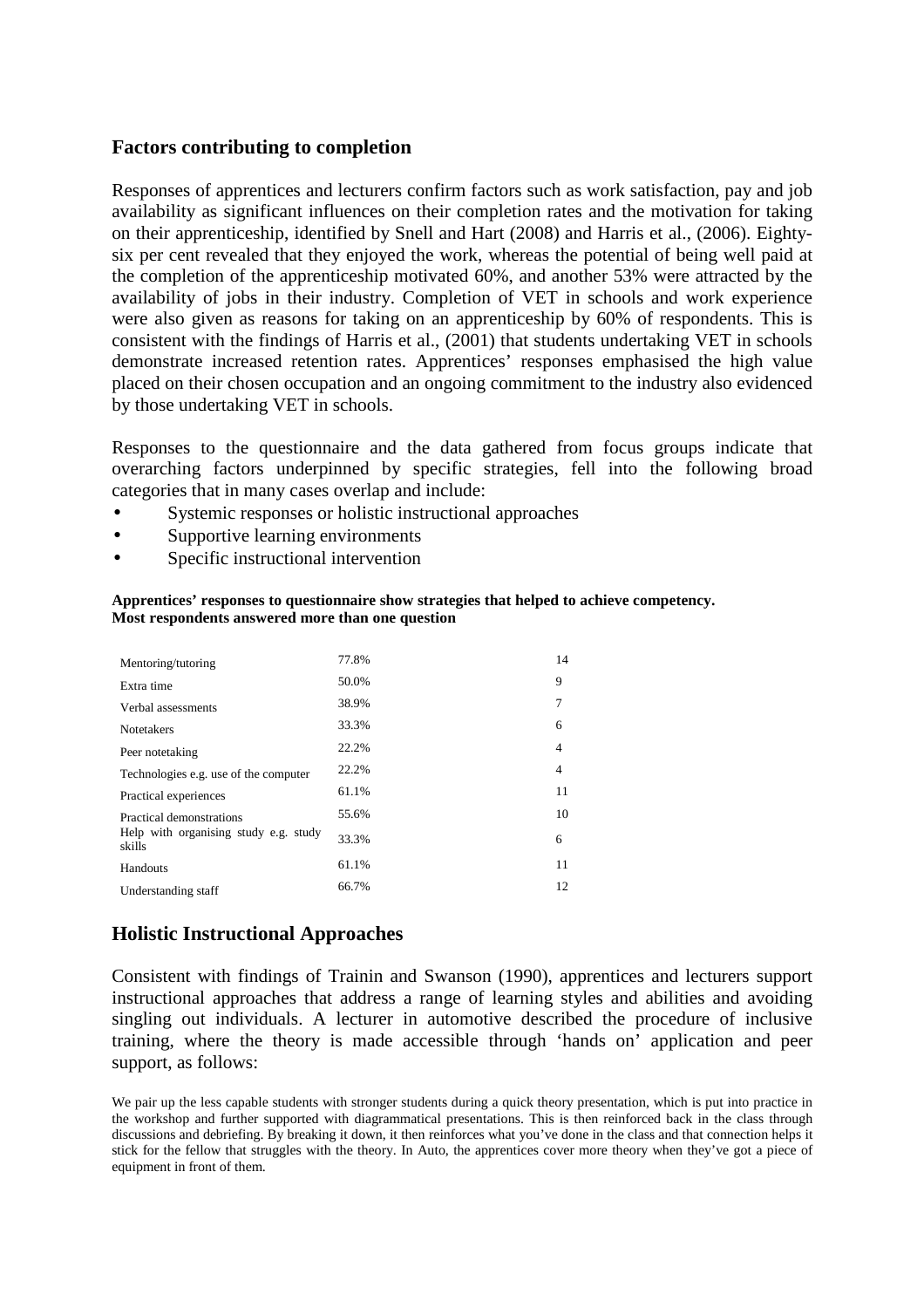### **Factors contributing to completion**

Responses of apprentices and lecturers confirm factors such as work satisfaction, pay and job availability as significant influences on their completion rates and the motivation for taking on their apprenticeship, identified by Snell and Hart (2008) and Harris et al., (2006). Eightysix per cent revealed that they enjoyed the work, whereas the potential of being well paid at the completion of the apprenticeship motivated 60%, and another 53% were attracted by the availability of jobs in their industry. Completion of VET in schools and work experience were also given as reasons for taking on an apprenticeship by 60% of respondents. This is consistent with the findings of Harris et al., (2001) that students undertaking VET in schools demonstrate increased retention rates. Apprentices' responses emphasised the high value placed on their chosen occupation and an ongoing commitment to the industry also evidenced by those undertaking VET in schools.

Responses to the questionnaire and the data gathered from focus groups indicate that overarching factors underpinned by specific strategies, fell into the following broad categories that in many cases overlap and include:

- Systemic responses or holistic instructional approaches
- Supportive learning environments
- Specific instructional intervention

#### **Apprentices' responses to questionnaire show strategies that helped to achieve competency. Most respondents answered more than one question**

| Mentoring/tutoring                              | 77.8% | 14 |
|-------------------------------------------------|-------|----|
| Extra time                                      | 50.0% | 9  |
| Verbal assessments                              | 38.9% | 7  |
| <b>Notetakers</b>                               | 33.3% | 6  |
| Peer notetaking                                 | 22.2% | 4  |
| Technologies e.g. use of the computer           | 22.2% | 4  |
| Practical experiences                           | 61.1% | 11 |
| Practical demonstrations                        | 55.6% | 10 |
| Help with organising study e.g. study<br>skills | 33.3% | 6  |
| Handouts                                        | 61.1% | 11 |
| Understanding staff                             | 66.7% | 12 |

### **Holistic Instructional Approaches**

Consistent with findings of Trainin and Swanson (1990), apprentices and lecturers support instructional approaches that address a range of learning styles and abilities and avoiding singling out individuals. A lecturer in automotive described the procedure of inclusive training, where the theory is made accessible through 'hands on' application and peer support, as follows:

We pair up the less capable students with stronger students during a quick theory presentation, which is put into practice in the workshop and further supported with diagrammatical presentations. This is then reinforced back in the class through discussions and debriefing. By breaking it down, it then reinforces what you've done in the class and that connection helps it stick for the fellow that struggles with the theory. In Auto, the apprentices cover more theory when they've got a piece of equipment in front of them.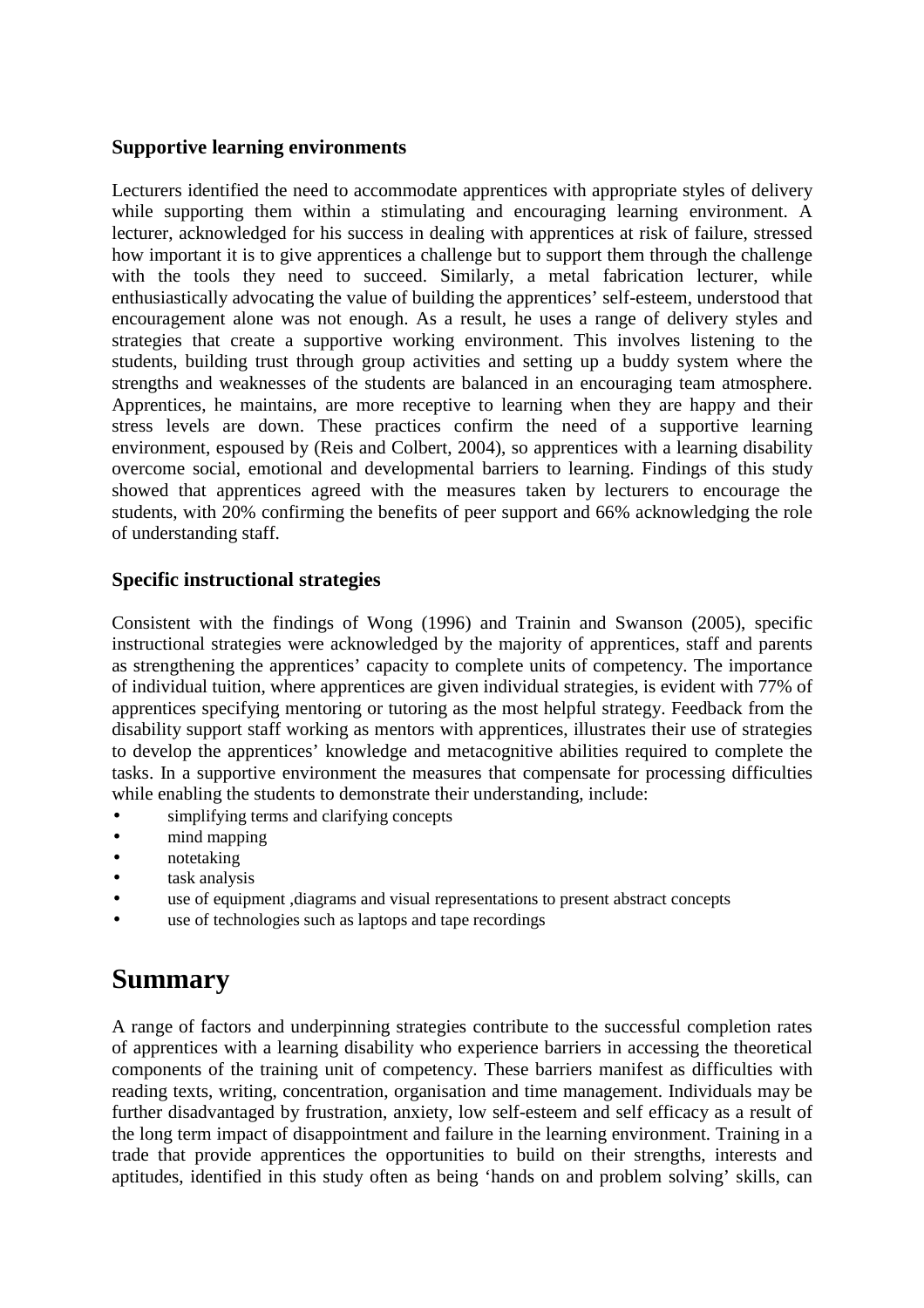### **Supportive learning environments**

Lecturers identified the need to accommodate apprentices with appropriate styles of delivery while supporting them within a stimulating and encouraging learning environment. A lecturer, acknowledged for his success in dealing with apprentices at risk of failure, stressed how important it is to give apprentices a challenge but to support them through the challenge with the tools they need to succeed. Similarly, a metal fabrication lecturer, while enthusiastically advocating the value of building the apprentices' self-esteem, understood that encouragement alone was not enough. As a result, he uses a range of delivery styles and strategies that create a supportive working environment. This involves listening to the students, building trust through group activities and setting up a buddy system where the strengths and weaknesses of the students are balanced in an encouraging team atmosphere. Apprentices, he maintains, are more receptive to learning when they are happy and their stress levels are down. These practices confirm the need of a supportive learning environment, espoused by (Reis and Colbert, 2004), so apprentices with a learning disability overcome social, emotional and developmental barriers to learning. Findings of this study showed that apprentices agreed with the measures taken by lecturers to encourage the students, with 20% confirming the benefits of peer support and 66% acknowledging the role of understanding staff.

### **Specific instructional strategies**

Consistent with the findings of Wong (1996) and Trainin and Swanson (2005), specific instructional strategies were acknowledged by the majority of apprentices, staff and parents as strengthening the apprentices' capacity to complete units of competency. The importance of individual tuition, where apprentices are given individual strategies, is evident with 77% of apprentices specifying mentoring or tutoring as the most helpful strategy. Feedback from the disability support staff working as mentors with apprentices, illustrates their use of strategies to develop the apprentices' knowledge and metacognitive abilities required to complete the tasks. In a supportive environment the measures that compensate for processing difficulties while enabling the students to demonstrate their understanding, include:

- simplifying terms and clarifying concepts
- mind mapping
- notetaking
- task analysis
- use of equipment ,diagrams and visual representations to present abstract concepts
- use of technologies such as laptops and tape recordings

# **Summary**

A range of factors and underpinning strategies contribute to the successful completion rates of apprentices with a learning disability who experience barriers in accessing the theoretical components of the training unit of competency. These barriers manifest as difficulties with reading texts, writing, concentration, organisation and time management. Individuals may be further disadvantaged by frustration, anxiety, low self-esteem and self efficacy as a result of the long term impact of disappointment and failure in the learning environment. Training in a trade that provide apprentices the opportunities to build on their strengths, interests and aptitudes, identified in this study often as being 'hands on and problem solving' skills, can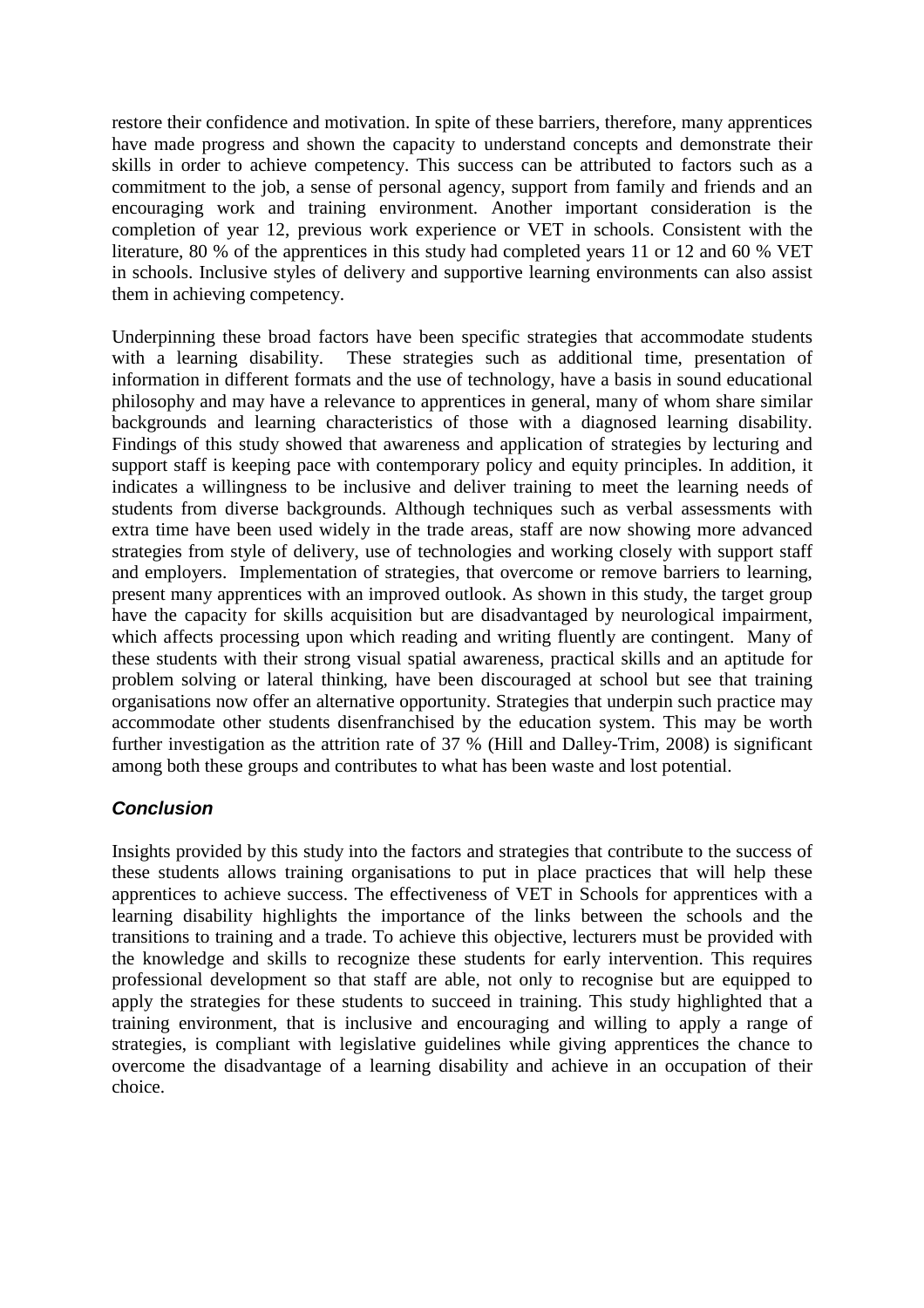restore their confidence and motivation. In spite of these barriers, therefore, many apprentices have made progress and shown the capacity to understand concepts and demonstrate their skills in order to achieve competency. This success can be attributed to factors such as a commitment to the job, a sense of personal agency, support from family and friends and an encouraging work and training environment. Another important consideration is the completion of year 12, previous work experience or VET in schools. Consistent with the literature, 80 % of the apprentices in this study had completed years 11 or 12 and 60 % VET in schools. Inclusive styles of delivery and supportive learning environments can also assist them in achieving competency.

Underpinning these broad factors have been specific strategies that accommodate students with a learning disability. These strategies such as additional time, presentation of information in different formats and the use of technology, have a basis in sound educational philosophy and may have a relevance to apprentices in general, many of whom share similar backgrounds and learning characteristics of those with a diagnosed learning disability. Findings of this study showed that awareness and application of strategies by lecturing and support staff is keeping pace with contemporary policy and equity principles. In addition, it indicates a willingness to be inclusive and deliver training to meet the learning needs of students from diverse backgrounds. Although techniques such as verbal assessments with extra time have been used widely in the trade areas, staff are now showing more advanced strategies from style of delivery, use of technologies and working closely with support staff and employers. Implementation of strategies, that overcome or remove barriers to learning, present many apprentices with an improved outlook. As shown in this study, the target group have the capacity for skills acquisition but are disadvantaged by neurological impairment, which affects processing upon which reading and writing fluently are contingent. Many of these students with their strong visual spatial awareness, practical skills and an aptitude for problem solving or lateral thinking, have been discouraged at school but see that training organisations now offer an alternative opportunity. Strategies that underpin such practice may accommodate other students disenfranchised by the education system. This may be worth further investigation as the attrition rate of 37 % (Hill and Dalley-Trim, 2008) is significant among both these groups and contributes to what has been waste and lost potential.

### **Conclusion**

Insights provided by this study into the factors and strategies that contribute to the success of these students allows training organisations to put in place practices that will help these apprentices to achieve success. The effectiveness of VET in Schools for apprentices with a learning disability highlights the importance of the links between the schools and the transitions to training and a trade. To achieve this objective, lecturers must be provided with the knowledge and skills to recognize these students for early intervention. This requires professional development so that staff are able, not only to recognise but are equipped to apply the strategies for these students to succeed in training. This study highlighted that a training environment, that is inclusive and encouraging and willing to apply a range of strategies, is compliant with legislative guidelines while giving apprentices the chance to overcome the disadvantage of a learning disability and achieve in an occupation of their choice.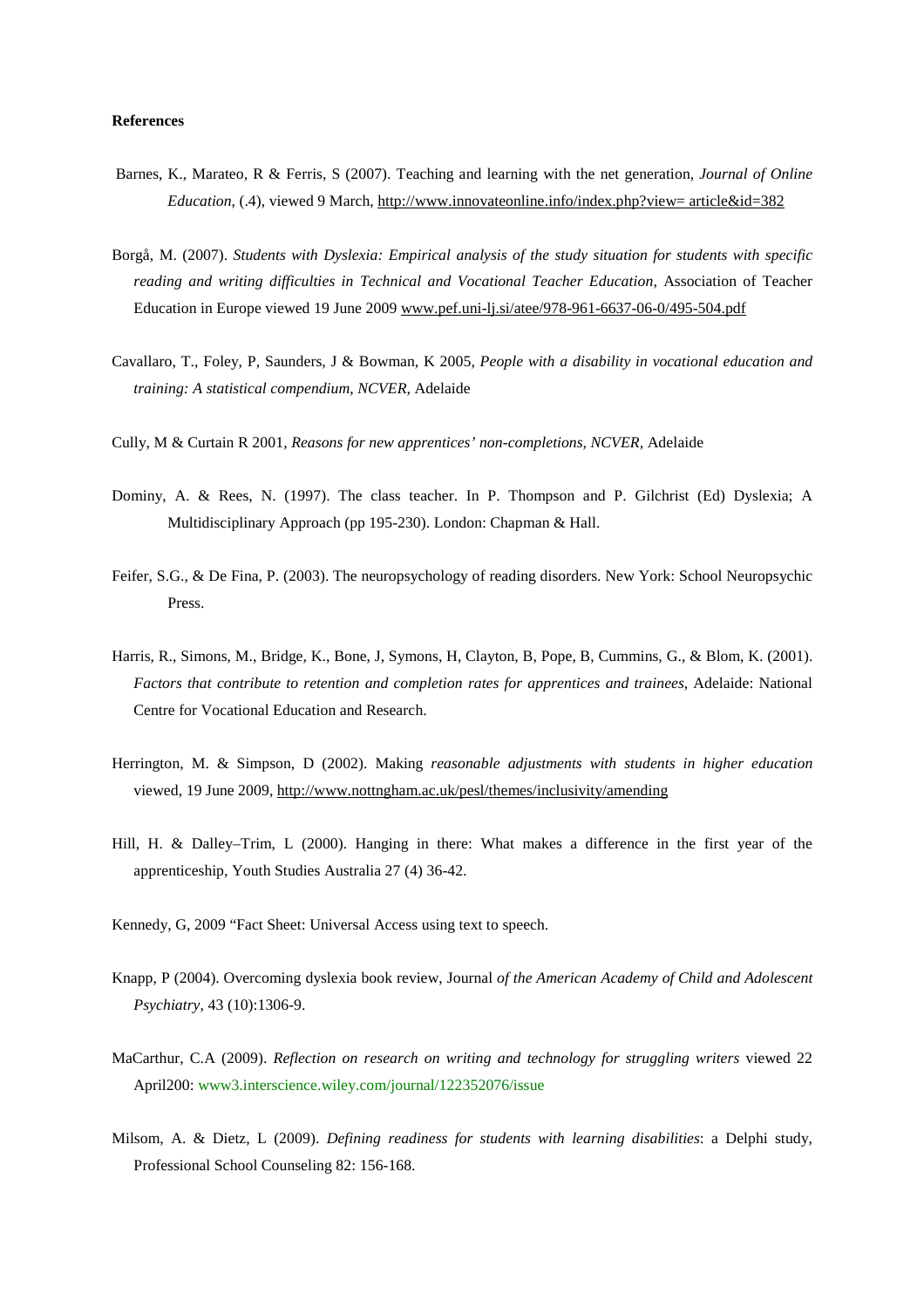#### **References**

- Barnes, K., Marateo, R & Ferris, S (2007). Teaching and learning with the net generation, *Journal of Online Education*, (.4), viewed 9 March, http://www.innovateonline.info/index.php?view= article&id=382
- Borgå, M. (2007). *Students with Dyslexia: Empirical analysis of the study situation for students with specific reading and writing difficulties in Technical and Vocational Teacher Education,* Association of Teacher Education in Europe viewed 19 June 2009 www.pef.uni-lj.si/atee/978-961-6637-06-0/495-504.pdf
- Cavallaro, T., Foley, P, Saunders, J & Bowman, K 2005*, People with a disability in vocational education and training: A statistical compendium*, *NCVER,* Adelaide
- Cully, M & Curtain R 2001*, Reasons for new apprentices' non-completions, NCVER,* Adelaide
- Dominy, A. & Rees, N. (1997). The class teacher. In P. Thompson and P. Gilchrist (Ed) Dyslexia; A Multidisciplinary Approach (pp 195-230). London: Chapman & Hall.
- Feifer, S.G., & De Fina, P. (2003). The neuropsychology of reading disorders. New York: School Neuropsychic Press.
- Harris, R., Simons, M., Bridge, K., Bone, J, Symons, H, Clayton, B, Pope, B, Cummins, G., & Blom, K. (2001). *Factors that contribute to retention and completion rates for apprentices and trainees*, Adelaide: National Centre for Vocational Education and Research.
- Herrington, M. & Simpson, D (2002). Making *reasonable adjustments with students in higher education*  viewed, 19 June 2009, http://www.nottngham.ac.uk/pesl/themes/inclusivity/amending
- Hill, H. & Dalley–Trim, L (2000). Hanging in there: What makes a difference in the first year of the apprenticeship, Youth Studies Australia 27 (4) 36-42.
- Kennedy, G, 2009 "Fact Sheet: Universal Access using text to speech.
- Knapp, P (2004). Overcoming dyslexia book review, Journal *of the American Academy of Child and Adolescent Psychiatry*, 43 (10):1306-9.
- MaCarthur, C.A (2009). *Reflection on research on writing and technology for struggling writers* viewed 22 April200: www3.interscience.wiley.com/journal/122352076/issue
- Milsom, A. & Dietz, L (2009). *Defining readiness for students with learning disabilities*: a Delphi study, Professional School Counseling 82: 156-168.